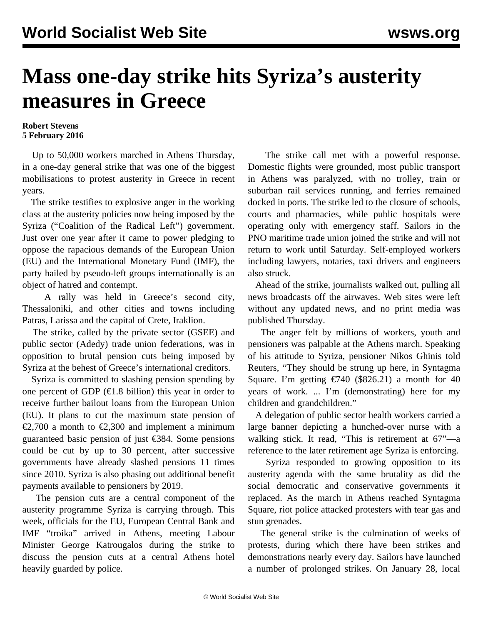## **Mass one-day strike hits Syriza's austerity measures in Greece**

## **Robert Stevens 5 February 2016**

 Up to 50,000 workers marched in Athens Thursday, in a one-day general strike that was one of the biggest mobilisations to protest austerity in Greece in recent years.

 The strike testifies to explosive anger in the working class at the austerity policies now being imposed by the Syriza ("Coalition of the Radical Left") government. Just over one year after it came to power pledging to oppose the rapacious demands of the European Union (EU) and the International Monetary Fund (IMF), the party hailed by pseudo-left groups internationally is an object of hatred and contempt.

 A rally was held in Greece's second city, Thessaloniki, and other cities and towns including Patras, Larissa and the capital of Crete, Iraklion.

 The strike, called by the private sector (GSEE) and public sector (Adedy) trade union federations, was in opposition to brutal pension cuts being imposed by Syriza at the behest of Greece's international creditors.

 Syriza is committed to slashing pension spending by one percent of GDP ( $\in$ 1.8 billion) this year in order to receive further bailout loans from the European Union (EU). It plans to cut the maximum state pension of €2,700 a month to €2,300 and implement a minimum guaranteed basic pension of just €384. Some pensions could be cut by up to 30 percent, after successive governments have already slashed pensions 11 times since 2010. Syriza is also phasing out additional benefit payments available to pensioners by 2019.

 The pension cuts are a central component of the austerity programme Syriza is carrying through. This week, officials for the EU, European Central Bank and IMF "troika" arrived in Athens, meeting Labour Minister George Katrougalos during the strike to discuss the pension cuts at a central Athens hotel heavily guarded by police.

 The strike call met with a powerful response. Domestic flights were grounded, most public transport in Athens was paralyzed, with no trolley, train or suburban rail services running, and ferries remained docked in ports. The strike led to the closure of schools, courts and pharmacies, while public hospitals were operating only with emergency staff. Sailors in the PNO maritime trade union joined the strike and will not return to work until Saturday. Self-employed workers including lawyers, notaries, taxi drivers and engineers also struck.

 Ahead of the strike, journalists walked out, pulling all news broadcasts off the airwaves. Web sites were left without any updated news, and no print media was published Thursday.

 The anger felt by millions of workers, youth and pensioners was palpable at the Athens march. Speaking of his attitude to Syriza, pensioner Nikos Ghinis told Reuters, "They should be strung up here, in Syntagma Square. I'm getting  $\epsilon$ 740 (\$826.21) a month for 40 years of work. ... I'm (demonstrating) here for my children and grandchildren."

 A delegation of public sector health workers carried a large banner depicting a hunched-over nurse with a walking stick. It read, "This is retirement at 67"—a reference to the later retirement age Syriza is enforcing.

 Syriza responded to growing opposition to its austerity agenda with the same brutality as did the social democratic and conservative governments it replaced. As the march in Athens reached Syntagma Square, riot police attacked protesters with tear gas and stun grenades.

 The general strike is the culmination of [weeks of](/en/articles/2016/01/23/gree-j23.html) [protests,](/en/articles/2016/01/23/gree-j23.html) during which there have been strikes and demonstrations nearly every day. Sailors have launched a number of prolonged strikes. On January 28, local